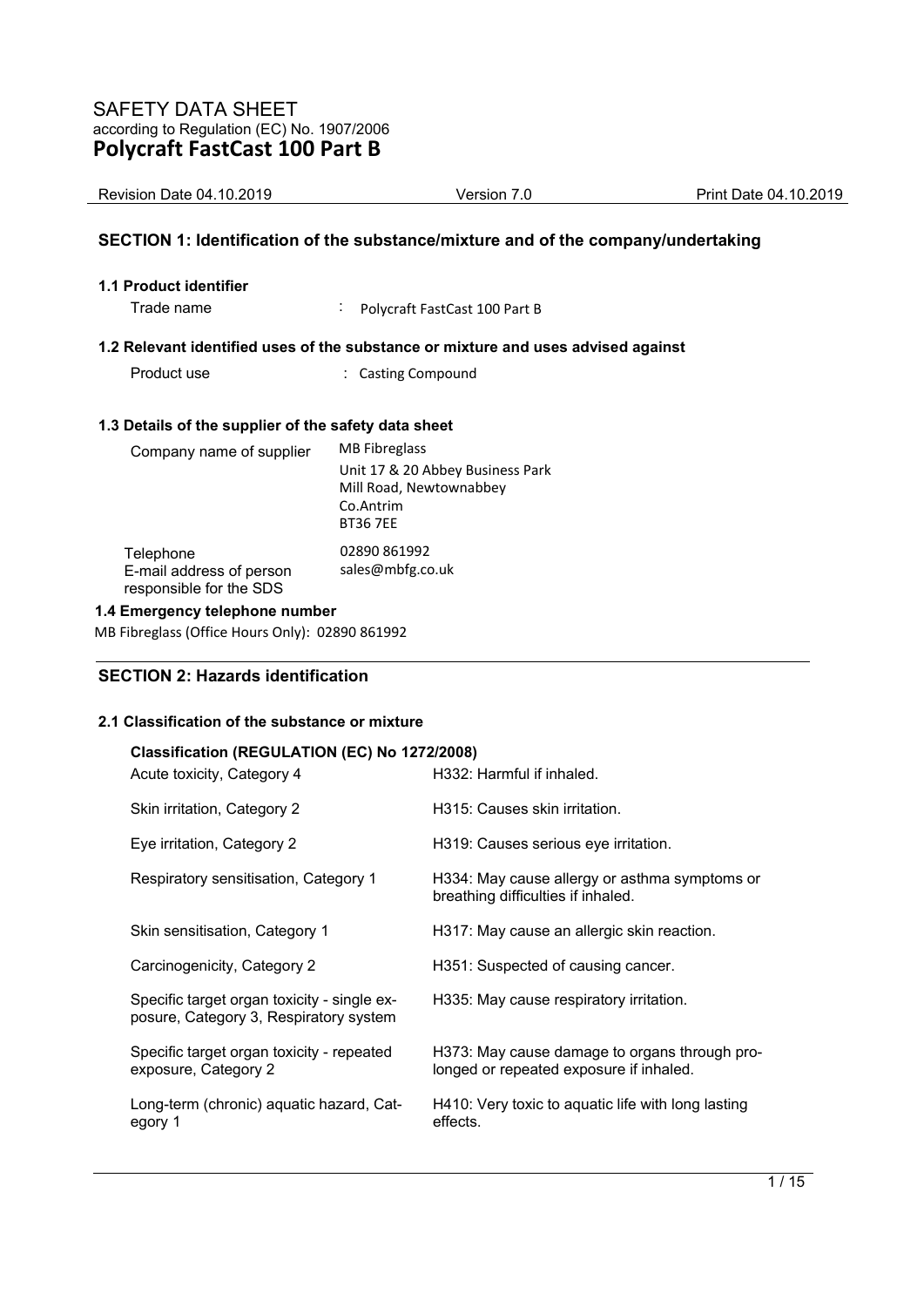| <b>Revision Date 04.10.2019</b>                                                   | Version 7.0 | Print Date 04.10.2019 |
|-----------------------------------------------------------------------------------|-------------|-----------------------|
| SECTION 1: Identification of the substance/mixture and of the company/undertaking |             |                       |
| <b>1.1 Product identifier</b>                                                     |             |                       |

Trade name : Polycraft FastCast 100 Part B

### **1.2 Relevant identified uses of the substance or mixture and uses advised against**

Product use  $\qquad \qquad$ : Casting Compound

## **1.3 Details of the supplier of the safety data sheet**

| Company name of supplier                                         | <b>MB</b> Fibreglass                                                                        |
|------------------------------------------------------------------|---------------------------------------------------------------------------------------------|
|                                                                  | Unit 17 & 20 Abbey Business Park<br>Mill Road, Newtownabbey<br>Co.Antrim<br><b>BT36 7EE</b> |
| Telephone<br>E-mail address of person<br>responsible for the SDS | 02890 861992<br>sales@mbfg.co.uk                                                            |

### **1.4 Emergency telephone number**

MB Fibreglass (Office Hours Only): 02890 861992

## **SECTION 2: Hazards identification**

## **2.1 Classification of the substance or mixture**

| Classification (REGULATION (EC) No 1272/2008)<br>Acute toxicity, Category 4           | H332: Harmful if inhaled.                                                                |
|---------------------------------------------------------------------------------------|------------------------------------------------------------------------------------------|
| Skin irritation, Category 2                                                           | H315: Causes skin irritation.                                                            |
| Eye irritation, Category 2                                                            | H319: Causes serious eye irritation.                                                     |
| Respiratory sensitisation, Category 1                                                 | H334: May cause allergy or asthma symptoms or<br>breathing difficulties if inhaled.      |
| Skin sensitisation, Category 1                                                        | H317: May cause an allergic skin reaction.                                               |
| Carcinogenicity, Category 2                                                           | H351: Suspected of causing cancer.                                                       |
| Specific target organ toxicity - single ex-<br>posure, Category 3, Respiratory system | H335: May cause respiratory irritation.                                                  |
| Specific target organ toxicity - repeated<br>exposure, Category 2                     | H373: May cause damage to organs through pro-<br>longed or repeated exposure if inhaled. |
| Long-term (chronic) aquatic hazard, Cat-<br>egory 1                                   | H410: Very toxic to aquatic life with long lasting<br>effects.                           |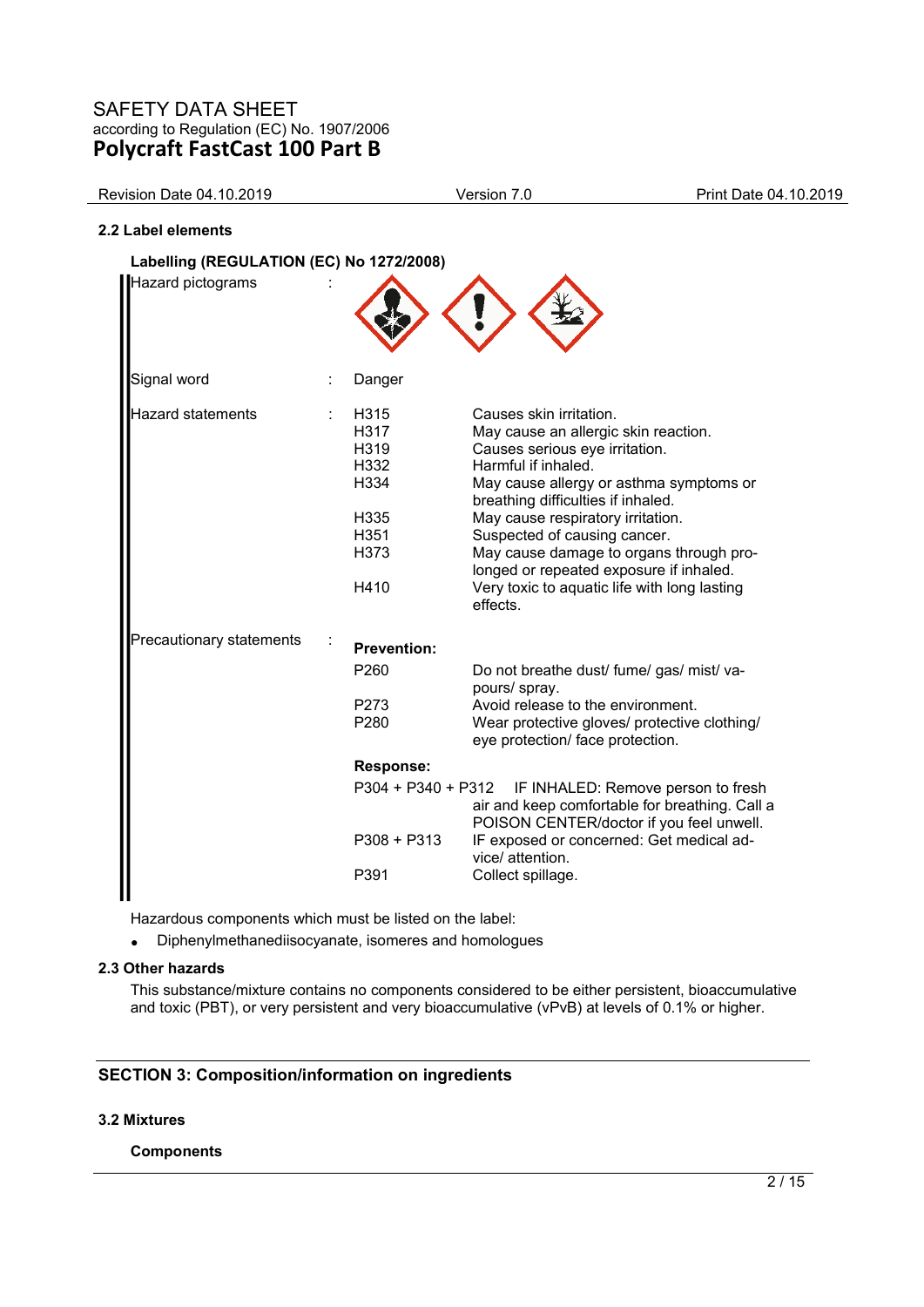| <b>Revision Date 04.10.2019</b>          | Version 7.0   | Print Date 04.10.2019 |
|------------------------------------------|---------------|-----------------------|
| 2.2 Label elements                       |               |                       |
| Labelling (REGULATION (EC) No 1272/2008) |               |                       |
| Hazard pictograms                        | $\mathcal{X}$ |                       |

| Signal word              | Danger                                                                           |                                                                                                                                                                                                                                                                                                                                                                                                                                  |
|--------------------------|----------------------------------------------------------------------------------|----------------------------------------------------------------------------------------------------------------------------------------------------------------------------------------------------------------------------------------------------------------------------------------------------------------------------------------------------------------------------------------------------------------------------------|
| <b>Hazard statements</b> | H315<br>H317<br>H319<br>H332<br>H334<br>H <sub>335</sub><br>H351<br>H373<br>H410 | Causes skin irritation.<br>May cause an allergic skin reaction.<br>Causes serious eye irritation.<br>Harmful if inhaled.<br>May cause allergy or asthma symptoms or<br>breathing difficulties if inhaled.<br>May cause respiratory irritation.<br>Suspected of causing cancer.<br>May cause damage to organs through pro-<br>longed or repeated exposure if inhaled.<br>Very toxic to aquatic life with long lasting<br>effects. |
| Precautionary statements | <b>Prevention:</b><br>P <sub>260</sub><br>P273<br>P280                           | Do not breathe dust/ fume/ gas/ mist/ va-<br>pours/spray.<br>Avoid release to the environment.<br>Wear protective gloves/ protective clothing/<br>eye protection/ face protection.                                                                                                                                                                                                                                               |
|                          | <b>Response:</b><br>$P308 + P313$<br>P391                                        | P304 + P340 + P312 IF INHALED: Remove person to fresh<br>air and keep comfortable for breathing. Call a<br>POISON CENTER/doctor if you feel unwell.<br>IF exposed or concerned: Get medical ad-<br>vice/ attention.<br>Collect spillage.                                                                                                                                                                                         |

Hazardous components which must be listed on the label:

• Diphenylmethanediisocyanate, isomeres and homologues

## **2.3 Other hazards**

This substance/mixture contains no components considered to be either persistent, bioaccumulative and toxic (PBT), or very persistent and very bioaccumulative (vPvB) at levels of 0.1% or higher.

## **SECTION 3: Composition/information on ingredients**

#### **3.2 Mixtures**

#### **Components**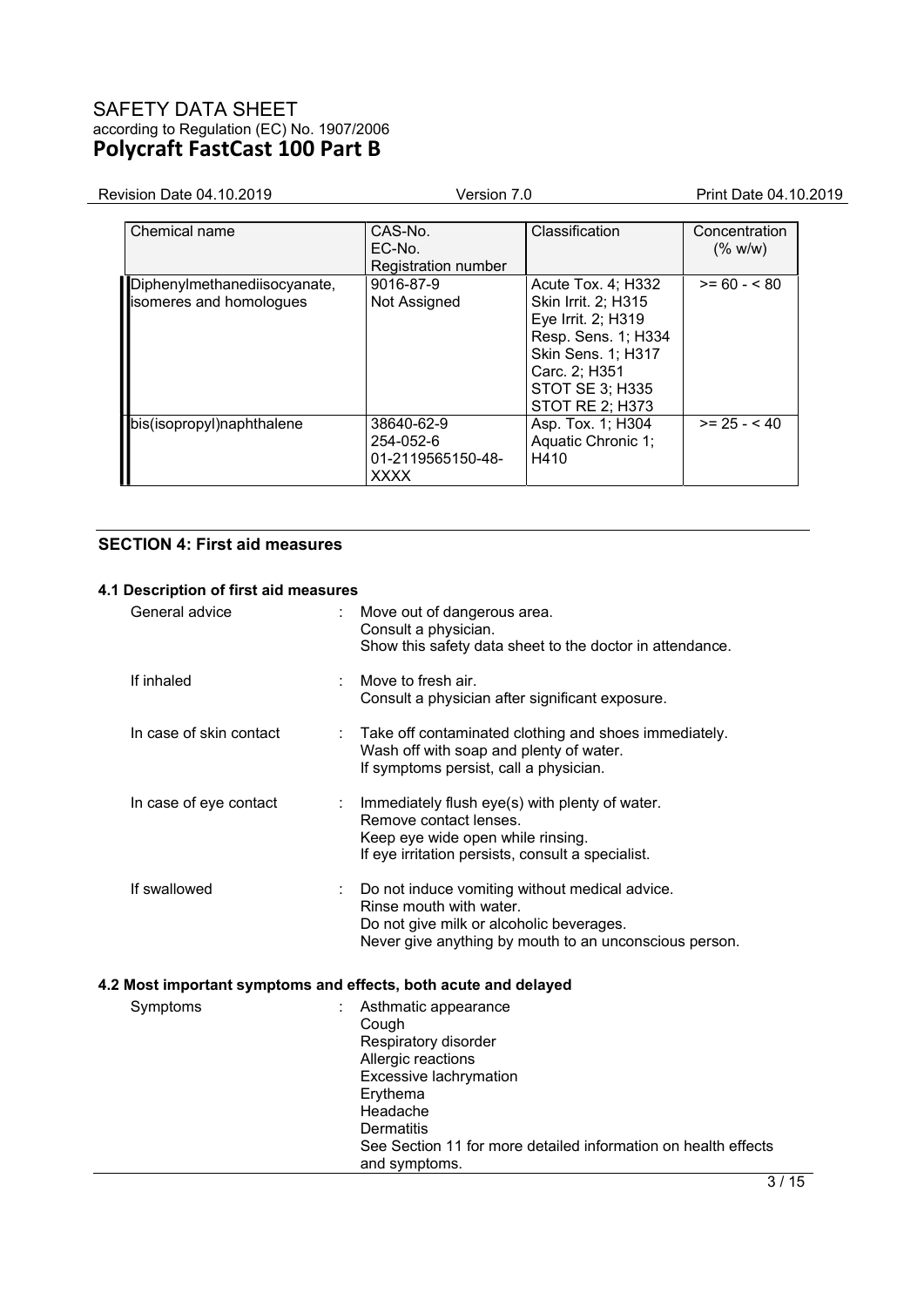| Revision Date 04.10.2019                                | Version 7.0                                                 |                                                                                                                                                                                   | Print Date 04.10.2019    |
|---------------------------------------------------------|-------------------------------------------------------------|-----------------------------------------------------------------------------------------------------------------------------------------------------------------------------------|--------------------------|
| Chemical name                                           | CAS-No.<br>$FC-No$<br>Registration number                   | Classification                                                                                                                                                                    | Concentration<br>(% w/w) |
| Diphenylmethanediisocyanate,<br>isomeres and homologues | 9016-87-9<br>Not Assigned                                   | Acute Tox. 4; H332<br>Skin Irrit. 2; H315<br>Eye Irrit. 2; H319<br>Resp. Sens. 1; H334<br>Skin Sens. 1; H317<br>Carc. 2; H351<br><b>STOT SE 3; H335</b><br><b>STOT RE 2; H373</b> | $>= 60 - 580$            |
| bis(isopropyl)naphthalene                               | 38640-62-9<br>254-052-6<br>01-2119565150-48-<br><b>XXXX</b> | Asp. Tox. 1; H304<br>Aquatic Chronic 1;<br>H410                                                                                                                                   | $>= 25 - 40$             |

## **SECTION 4: First aid measures**

## **4.1 Description of first aid measures**

|                                                                                 | ົ                                                                                                                                                                                                                                     |
|---------------------------------------------------------------------------------|---------------------------------------------------------------------------------------------------------------------------------------------------------------------------------------------------------------------------------------|
| Symptoms                                                                        | Asthmatic appearance<br>Cough<br>Respiratory disorder<br>Allergic reactions<br>Excessive lachrymation<br>Erythema<br>Headache<br><b>Dermatitis</b><br>See Section 11 for more detailed information on health effects<br>and symptoms. |
| If swallowed<br>4.2 Most important symptoms and effects, both acute and delayed | Do not induce vomiting without medical advice.<br>Rinse mouth with water.<br>Do not give milk or alcoholic beverages.<br>Never give anything by mouth to an unconscious person.                                                       |
| In case of eye contact                                                          | Immediately flush eye(s) with plenty of water.<br>Remove contact lenses.<br>Keep eye wide open while rinsing.<br>If eye irritation persists, consult a specialist.                                                                    |
| In case of skin contact                                                         | Take off contaminated clothing and shoes immediately.<br>Wash off with soap and plenty of water.<br>If symptoms persist, call a physician.                                                                                            |
| If inhaled                                                                      | Move to fresh air.<br>Consult a physician after significant exposure.                                                                                                                                                                 |
| General advice                                                                  | Move out of dangerous area.<br>Consult a physician.<br>Show this safety data sheet to the doctor in attendance.                                                                                                                       |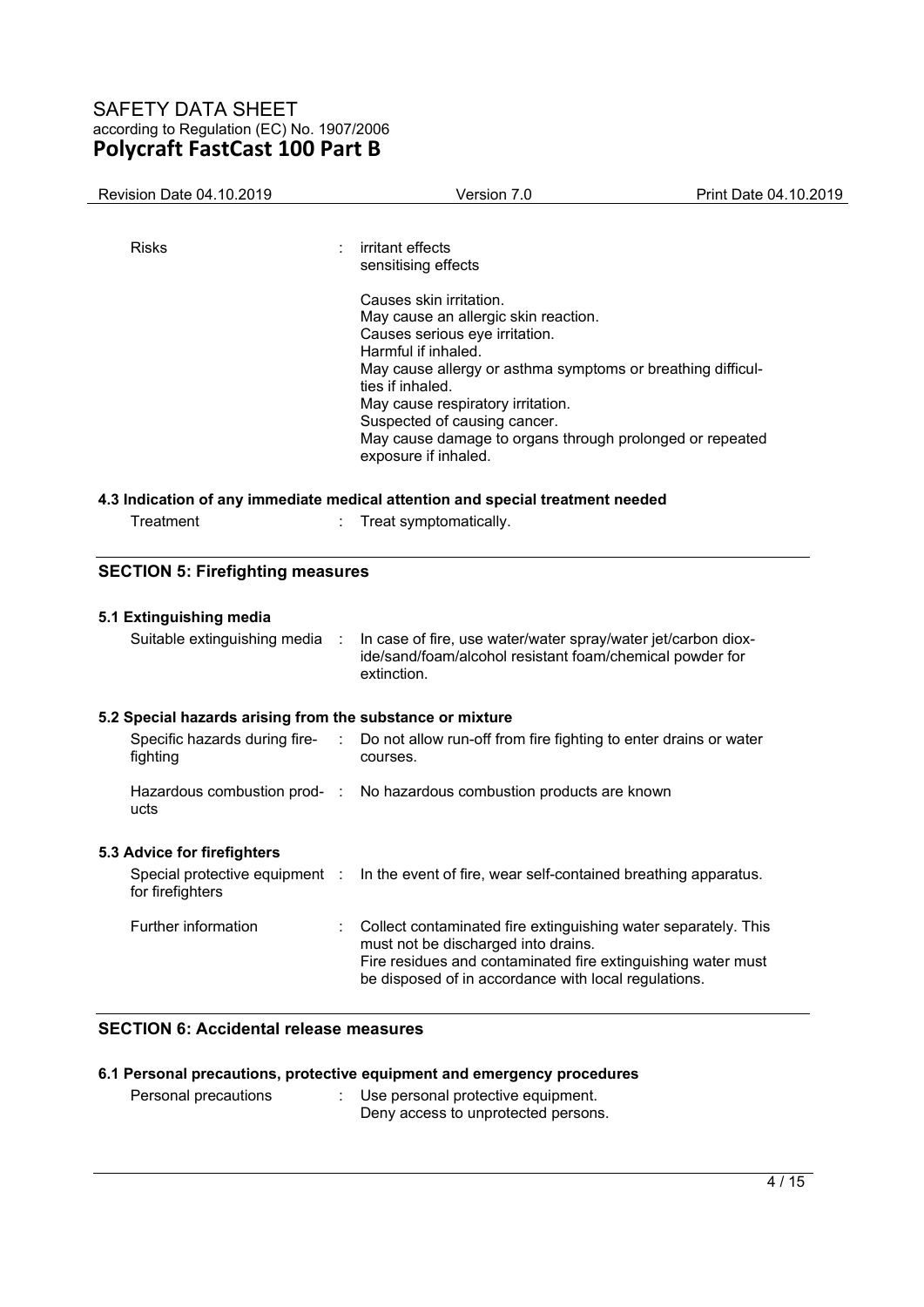| Revision Date 04.10.2019                                                 | Version 7.0                                                                                                                                                                                                                                                                                                                                                          | Print Date 04.10.2019 |
|--------------------------------------------------------------------------|----------------------------------------------------------------------------------------------------------------------------------------------------------------------------------------------------------------------------------------------------------------------------------------------------------------------------------------------------------------------|-----------------------|
| <b>Risks</b>                                                             | irritant effects<br>sensitising effects                                                                                                                                                                                                                                                                                                                              |                       |
|                                                                          | Causes skin irritation.<br>May cause an allergic skin reaction.<br>Causes serious eye irritation.<br>Harmful if inhaled.<br>May cause allergy or asthma symptoms or breathing difficul-<br>ties if inhaled.<br>May cause respiratory irritation.<br>Suspected of causing cancer.<br>May cause damage to organs through prolonged or repeated<br>exposure if inhaled. |                       |
|                                                                          | 4.3 Indication of any immediate medical attention and special treatment needed                                                                                                                                                                                                                                                                                       |                       |
| Treatment                                                                | Treat symptomatically.                                                                                                                                                                                                                                                                                                                                               |                       |
| <b>SECTION 5: Firefighting measures</b>                                  |                                                                                                                                                                                                                                                                                                                                                                      |                       |
| 5.1 Extinguishing media                                                  |                                                                                                                                                                                                                                                                                                                                                                      |                       |
| Suitable extinguishing media :                                           | In case of fire, use water/water spray/water jet/carbon diox-<br>ide/sand/foam/alcohol resistant foam/chemical powder for<br>extinction.                                                                                                                                                                                                                             |                       |
| 5.2 Special hazards arising from the substance or mixture                |                                                                                                                                                                                                                                                                                                                                                                      |                       |
| Specific hazards during fire-<br>$\mathcal{L}^{\mathcal{L}}$<br>fighting | Do not allow run-off from fire fighting to enter drains or water<br>courses.                                                                                                                                                                                                                                                                                         |                       |
| ucts                                                                     | Hazardous combustion prod- : No hazardous combustion products are known                                                                                                                                                                                                                                                                                              |                       |
| 5.3 Advice for firefighters                                              |                                                                                                                                                                                                                                                                                                                                                                      |                       |
| for firefighters                                                         | Special protective equipment : In the event of fire, wear self-contained breathing apparatus.                                                                                                                                                                                                                                                                        |                       |
| Further information                                                      | Collect contaminated fire extinguishing water separately. This<br>must not be discharged into drains.<br>Fire residues and contaminated fire extinguishing water must<br>be disposed of in accordance with local regulations.                                                                                                                                        |                       |
| <b>SECTION 6: Accidental release measures</b>                            |                                                                                                                                                                                                                                                                                                                                                                      |                       |

|                      | 6.1 Personal precautions, protective equipment and emergency procedures     |
|----------------------|-----------------------------------------------------------------------------|
| Personal precautions | : Use personal protective equipment.<br>Deny access to unprotected persons. |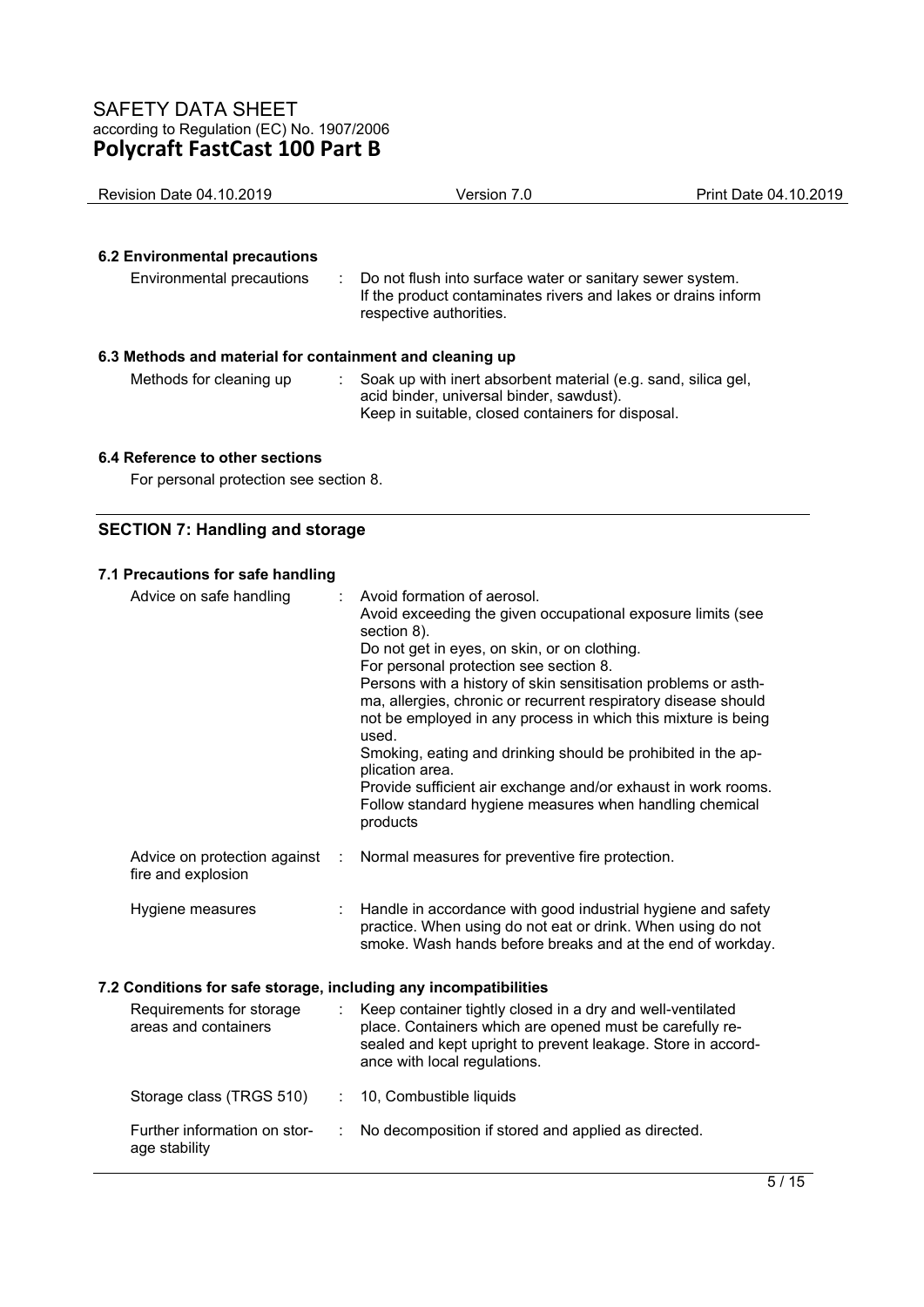| <b>Revision Date 04.10.2019</b>                                                     | Version 7.0                                                                                                                                           | Print Date 04.10.2019 |
|-------------------------------------------------------------------------------------|-------------------------------------------------------------------------------------------------------------------------------------------------------|-----------------------|
| <b>6.2 Environmental precautions</b><br>Environmental precautions                   | Do not flush into surface water or sanitary sewer system.<br>If the product contaminates rivers and lakes or drains inform<br>respective authorities. |                       |
| 6.3 Methods and material for containment and cleaning up<br>Methods for cleaning up | Soak up with inert absorbent material (e.g. sand, silica gel,                                                                                         |                       |

acid binder, universal binder, sawdust).

Keep in suitable, closed containers for disposal.

#### **6.4 Reference to other sections**

For personal protection see section 8.

# **SECTION 7: Handling and storage**

## **7.1 Precautions for safe handling**

| Advice on safe handling                                          |   | Avoid formation of aerosol.<br>Avoid exceeding the given occupational exposure limits (see<br>section 8).<br>Do not get in eyes, on skin, or on clothing.<br>For personal protection see section 8.<br>Persons with a history of skin sensitisation problems or asth-<br>ma, allergies, chronic or recurrent respiratory disease should<br>not be employed in any process in which this mixture is being<br>used.<br>Smoking, eating and drinking should be prohibited in the ap-<br>plication area.<br>Provide sufficient air exchange and/or exhaust in work rooms.<br>Follow standard hygiene measures when handling chemical<br>products |
|------------------------------------------------------------------|---|----------------------------------------------------------------------------------------------------------------------------------------------------------------------------------------------------------------------------------------------------------------------------------------------------------------------------------------------------------------------------------------------------------------------------------------------------------------------------------------------------------------------------------------------------------------------------------------------------------------------------------------------|
| Advice on protection against<br>fire and explosion               | ÷ | Normal measures for preventive fire protection.                                                                                                                                                                                                                                                                                                                                                                                                                                                                                                                                                                                              |
| Hygiene measures                                                 |   | Handle in accordance with good industrial hygiene and safety<br>practice. When using do not eat or drink. When using do not<br>smoke. Wash hands before breaks and at the end of workday.                                                                                                                                                                                                                                                                                                                                                                                                                                                    |
| 7.2 Conditions for safe storage, including any incompatibilities |   |                                                                                                                                                                                                                                                                                                                                                                                                                                                                                                                                                                                                                                              |
| Requirements for storage<br>areas and containers                 |   | Keep container tightly closed in a dry and well-ventilated<br>place. Containers which are opened must be carefully re-<br>sealed and kept upright to prevent leakage. Store in accord-<br>ance with local regulations.                                                                                                                                                                                                                                                                                                                                                                                                                       |
| Storage class (TRGS 510)                                         |   | : 10, Combustible liquids                                                                                                                                                                                                                                                                                                                                                                                                                                                                                                                                                                                                                    |
| Further information on stor-<br>age stability                    |   | No decomposition if stored and applied as directed.                                                                                                                                                                                                                                                                                                                                                                                                                                                                                                                                                                                          |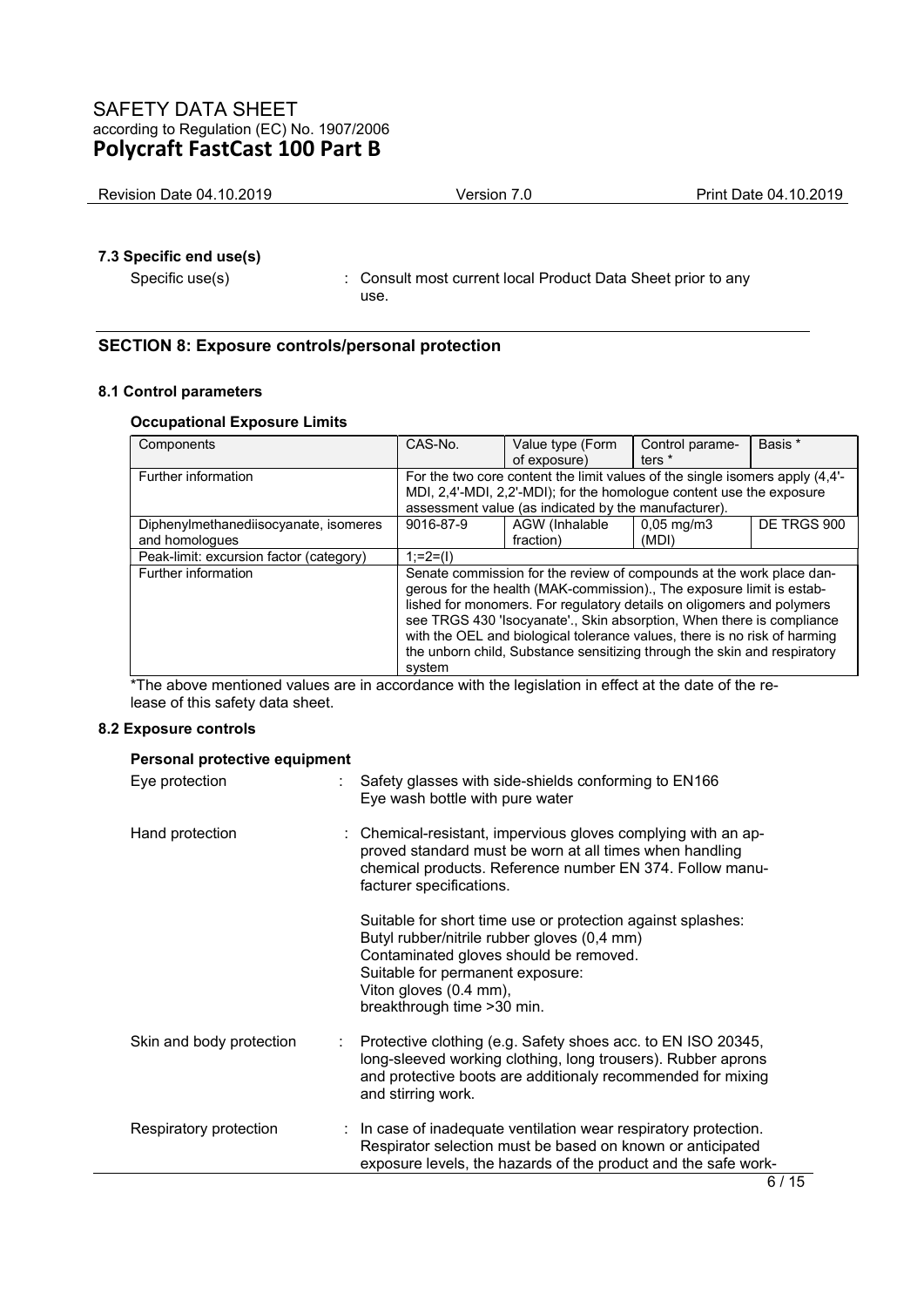| Revision Date 04.10.2019<br>Print Date 04.10.2019<br>Version |
|--------------------------------------------------------------|
|--------------------------------------------------------------|

## **7.3 Specific end use(s)**

Specific use(s) : Consult most current local Product Data Sheet prior to any use.

## **SECTION 8: Exposure controls/personal protection**

#### **8.1 Control parameters**

#### **Occupational Exposure Limits**

| Components                              | CAS-No.                                                                   | Value type (Form                                                             | Control parame-       | Basis *     |
|-----------------------------------------|---------------------------------------------------------------------------|------------------------------------------------------------------------------|-----------------------|-------------|
|                                         |                                                                           | of exposure)                                                                 | ters <sup>*</sup>     |             |
| Further information                     |                                                                           | For the two core content the limit values of the single isomers apply (4.4'- |                       |             |
|                                         |                                                                           | MDI, 2,4'-MDI, 2,2'-MDI); for the homologue content use the exposure         |                       |             |
|                                         |                                                                           | assessment value (as indicated by the manufacturer).                         |                       |             |
| Diphenylmethanediisocyanate, isomeres   | 9016-87-9                                                                 | AGW (Inhalable                                                               | $0,05 \text{ mg/m}$ 3 | DE TRGS 900 |
| and homologues                          |                                                                           | fraction)                                                                    | (MDI)                 |             |
| Peak-limit: excursion factor (category) | $1:=2=(1)$                                                                |                                                                              |                       |             |
| Further information                     | Senate commission for the review of compounds at the work place dan-      |                                                                              |                       |             |
|                                         |                                                                           | gerous for the health (MAK-commission). The exposure limit is estab-         |                       |             |
|                                         |                                                                           | lished for monomers. For regulatory details on oligomers and polymers        |                       |             |
|                                         | see TRGS 430 'Isocyanate'., Skin absorption, When there is compliance     |                                                                              |                       |             |
|                                         | with the OEL and biological tolerance values, there is no risk of harming |                                                                              |                       |             |
|                                         | the unborn child, Substance sensitizing through the skin and respiratory  |                                                                              |                       |             |
|                                         | system                                                                    |                                                                              |                       |             |
| $\sim$                                  |                                                                           |                                                                              | .                     |             |

\*The above mentioned values are in accordance with the legislation in effect at the date of the release of this safety data sheet.

## **8.2 Exposure controls**

#### **Personal protective equipment**

| Eye protection           |    | Safety glasses with side-shields conforming to EN166<br>Eye wash bottle with pure water                                                                                                                                                           |
|--------------------------|----|---------------------------------------------------------------------------------------------------------------------------------------------------------------------------------------------------------------------------------------------------|
| Hand protection          |    | : Chemical-resistant, impervious gloves complying with an ap-<br>proved standard must be worn at all times when handling<br>chemical products. Reference number EN 374. Follow manu-<br>facturer specifications.                                  |
|                          |    | Suitable for short time use or protection against splashes:<br>Butyl rubber/nitrile rubber gloves (0,4 mm)<br>Contaminated gloves should be removed.<br>Suitable for permanent exposure:<br>Viton gloves (0.4 mm),<br>breakthrough time > 30 min. |
| Skin and body protection | ÷. | Protective clothing (e.g. Safety shoes acc. to EN ISO 20345,<br>long-sleeved working clothing, long trousers). Rubber aprons<br>and protective boots are additionaly recommended for mixing<br>and stirring work.                                 |
| Respiratory protection   |    | : In case of inadequate ventilation wear respiratory protection.<br>Respirator selection must be based on known or anticipated<br>exposure levels, the hazards of the product and the safe work-                                                  |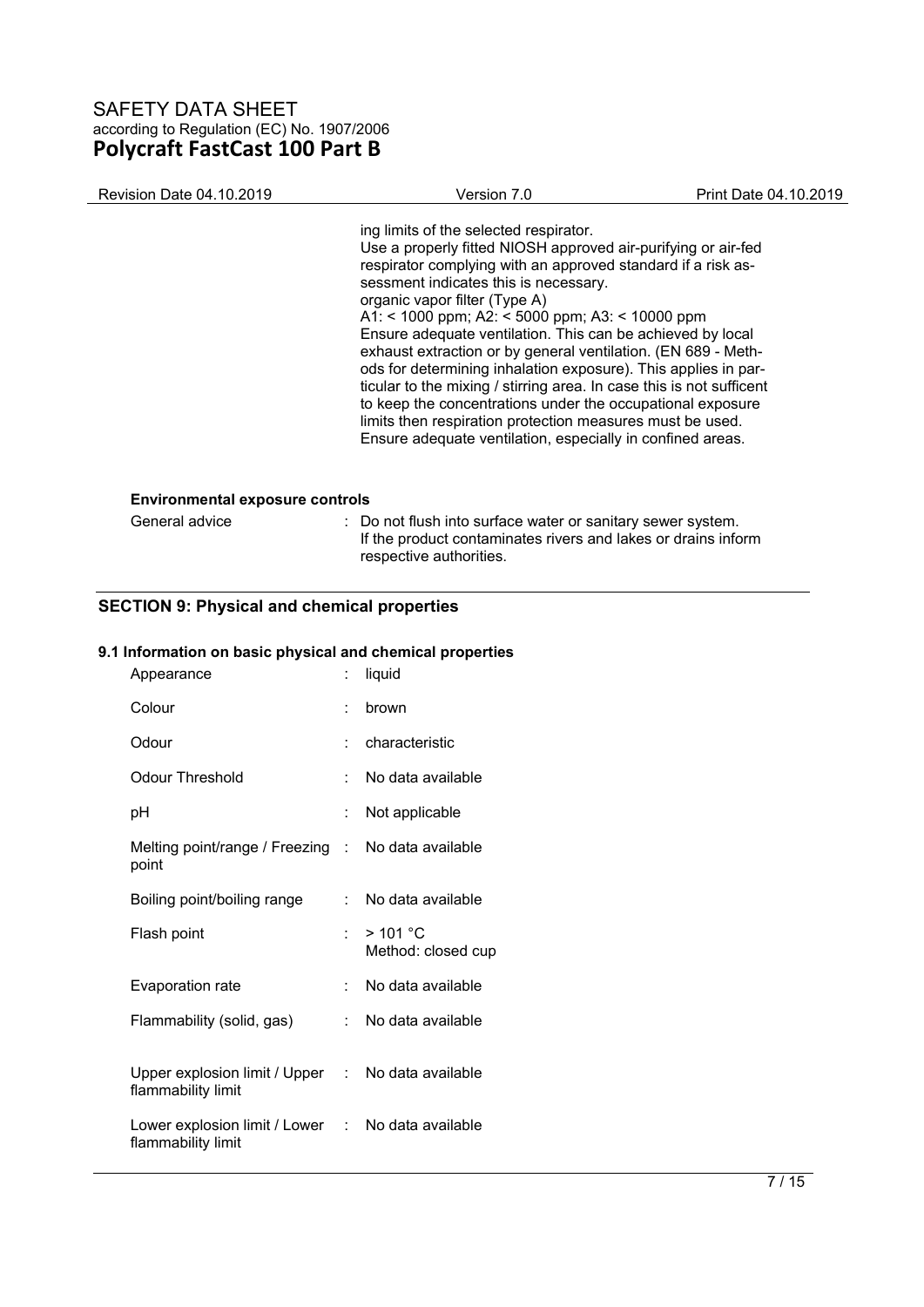| Revision Date 04.10.2019                                 | Version 7.0                                                                                                                                                                                                                                                                                                                                                                                                                                                                                                                                                                                                                                                                                                                                                            | Print Date 04.10.2019 |
|----------------------------------------------------------|------------------------------------------------------------------------------------------------------------------------------------------------------------------------------------------------------------------------------------------------------------------------------------------------------------------------------------------------------------------------------------------------------------------------------------------------------------------------------------------------------------------------------------------------------------------------------------------------------------------------------------------------------------------------------------------------------------------------------------------------------------------------|-----------------------|
|                                                          | ing limits of the selected respirator.<br>Use a properly fitted NIOSH approved air-purifying or air-fed<br>respirator complying with an approved standard if a risk as-<br>sessment indicates this is necessary.<br>organic vapor filter (Type A)<br>A1: < 1000 ppm; A2: < 5000 ppm; A3: < 10000 ppm<br>Ensure adequate ventilation. This can be achieved by local<br>exhaust extraction or by general ventilation. (EN 689 - Meth-<br>ods for determining inhalation exposure). This applies in par-<br>ticular to the mixing / stirring area. In case this is not sufficent<br>to keep the concentrations under the occupational exposure<br>limits then respiration protection measures must be used.<br>Ensure adequate ventilation, especially in confined areas. |                       |
| <b>Environmental exposure controls</b><br>General advice | : Do not flush into surface water or sanitary sewer system.<br>If the product contaminates rivers and lakes or drains inform<br>respective authorities.                                                                                                                                                                                                                                                                                                                                                                                                                                                                                                                                                                                                                |                       |

# **SECTION 9: Physical and chemical properties**

## **9.1 Information on basic physical and chemical properties**

| t                                   | liquid                           |
|-------------------------------------|----------------------------------|
| t                                   | brown                            |
|                                     | characteristic                   |
|                                     | No data available                |
|                                     | Not applicable                   |
| Melting point/range / Freezing :    | No data available                |
| t.                                  | No data available                |
| 67                                  | $>$ 101 °C<br>Method: closed cup |
| t.                                  | No data available                |
| t.                                  | No data available                |
| Upper explosion limit / Upper :     | No data available                |
| Lower explosion limit / Lower<br>t. | No data available                |
|                                     |                                  |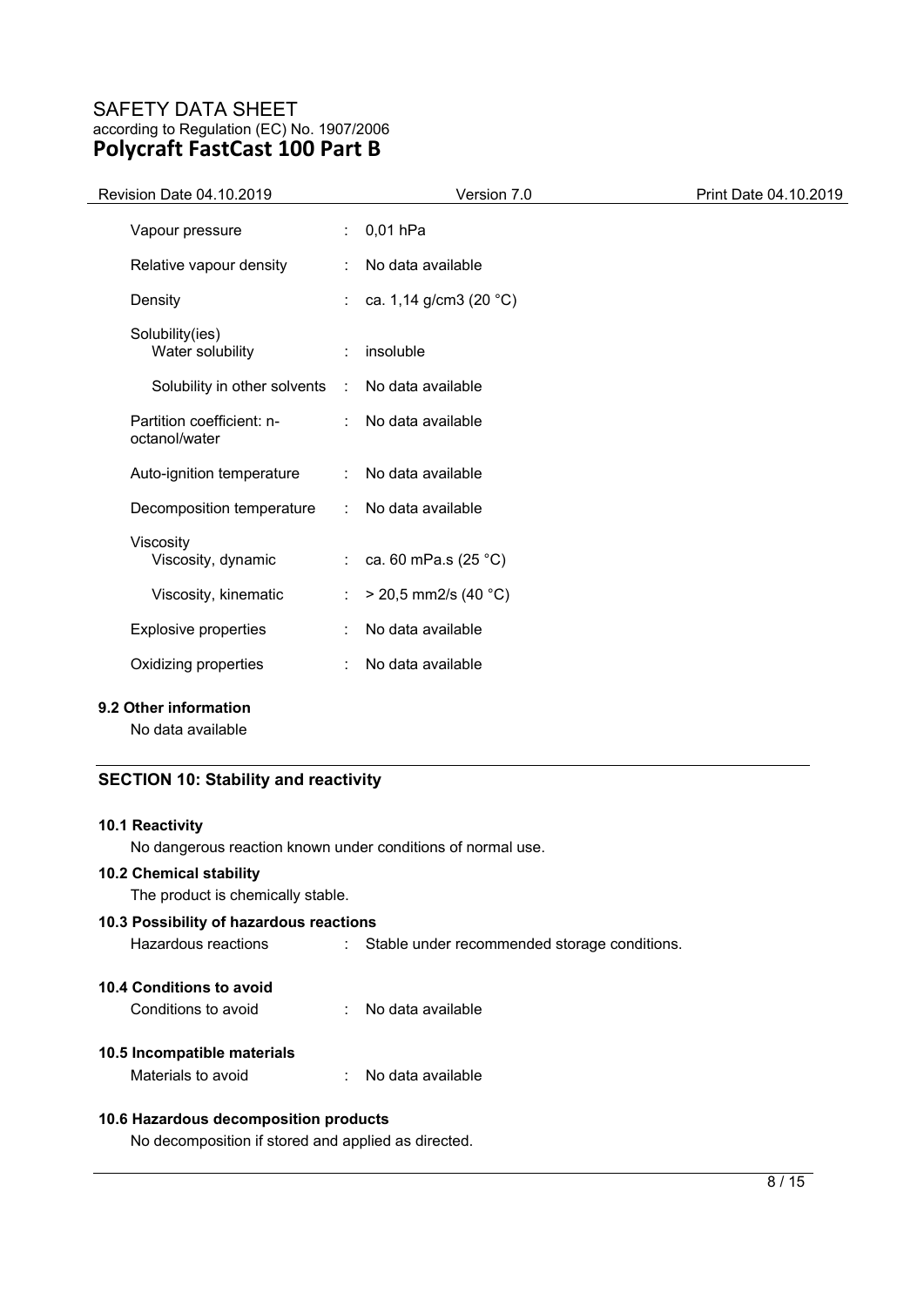| Revision Date 04.10.2019                   |    | Version 7.0            | Print Date 04.10.2019 |
|--------------------------------------------|----|------------------------|-----------------------|
| Vapour pressure                            |    | $0,01$ hPa             |                       |
| Relative vapour density                    | ÷  | No data available      |                       |
| Density                                    | ÷. | ca. 1,14 g/cm3 (20 °C) |                       |
| Solubility(ies)<br>Water solubility        | ÷  | insoluble              |                       |
| Solubility in other solvents               | ÷  | No data available      |                       |
| Partition coefficient: n-<br>octanol/water | ÷. | No data available      |                       |
| Auto-ignition temperature                  | ÷. | No data available      |                       |
| Decomposition temperature                  | ÷  | No data available      |                       |
| Viscosity<br>Viscosity, dynamic            | t. | ca. 60 mPa.s (25 °C)   |                       |
| Viscosity, kinematic                       | t  | $>$ 20,5 mm2/s (40 °C) |                       |
| <b>Explosive properties</b>                | ÷  | No data available      |                       |
| Oxidizing properties                       | ÷  | No data available      |                       |
| 9.2 Other information                      |    |                        |                       |

No data available

## **SECTION 10: Stability and reactivity**

## **10.1 Reactivity**

No dangerous reaction known under conditions of normal use.

## **10.2 Chemical stability**

The product is chemically stable.

## **10.3 Possibility of hazardous reactions**

Hazardous reactions : Stable under recommended storage conditions.

## **10.4 Conditions to avoid**

Conditions to avoid : No data available

## **10.5 Incompatible materials**

Materials to avoid : No data available

## **10.6 Hazardous decomposition products**

No decomposition if stored and applied as directed.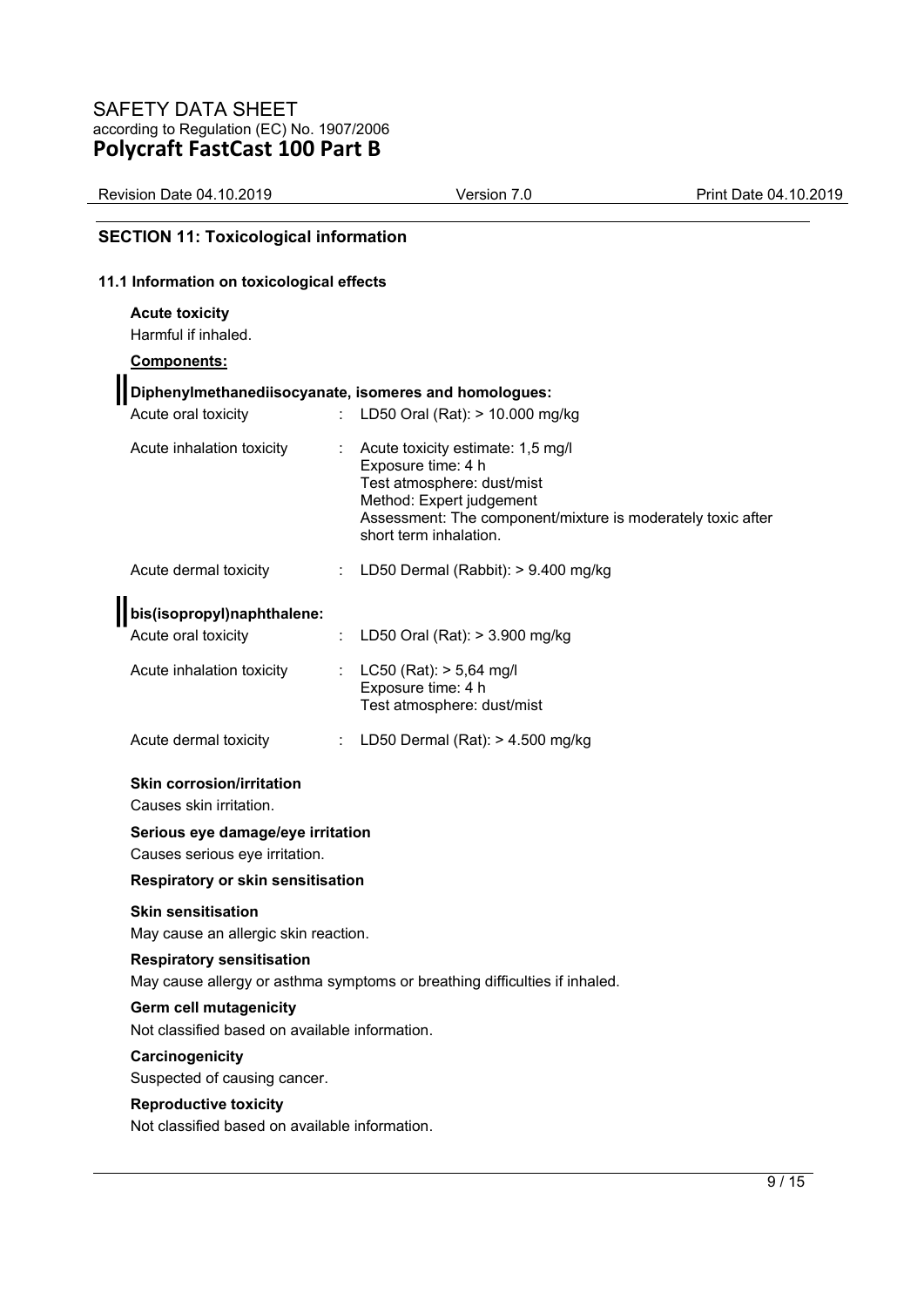| Revision Date 04.10.2019 | Version 7.0 | Print Date 04.10.2019 |
|--------------------------|-------------|-----------------------|
|--------------------------|-------------|-----------------------|

# **SECTION 11: Toxicological information**

## **11.1 Information on toxicological effects**

#### **Acute toxicity**

Harmful if inhaled.

### **Components:**

| Diphenylmethanediisocyanate, isomeres and homologues:                                                                                                                   |                                                                                                                                                                                                            |
|-------------------------------------------------------------------------------------------------------------------------------------------------------------------------|------------------------------------------------------------------------------------------------------------------------------------------------------------------------------------------------------------|
| Acute oral toxicity                                                                                                                                                     | LD50 Oral (Rat): > 10.000 mg/kg                                                                                                                                                                            |
| Acute inhalation toxicity                                                                                                                                               | Acute toxicity estimate: 1,5 mg/l<br>Exposure time: 4 h<br>Test atmosphere: dust/mist<br>Method: Expert judgement<br>Assessment: The component/mixture is moderately toxic after<br>short term inhalation. |
| Acute dermal toxicity<br>÷                                                                                                                                              | LD50 Dermal (Rabbit): > 9.400 mg/kg                                                                                                                                                                        |
| bis(isopropyl)naphthalene:                                                                                                                                              |                                                                                                                                                                                                            |
| Acute oral toxicity<br>÷.                                                                                                                                               | LD50 Oral (Rat): > 3.900 mg/kg                                                                                                                                                                             |
| Acute inhalation toxicity                                                                                                                                               | : LC50 (Rat): $> 5,64$ mg/l<br>Exposure time: 4 h<br>Test atmosphere: dust/mist                                                                                                                            |
| Acute dermal toxicity                                                                                                                                                   | LD50 Dermal (Rat): > 4.500 mg/kg                                                                                                                                                                           |
| <b>Skin corrosion/irritation</b><br>Causes skin irritation.<br>Serious eye damage/eye irritation<br>Causes serious eye irritation.<br>Respiratory or skin sensitisation |                                                                                                                                                                                                            |
| <b>Skin sensitisation</b>                                                                                                                                               |                                                                                                                                                                                                            |
| May cause an allergic skin reaction.                                                                                                                                    |                                                                                                                                                                                                            |
| <b>Respiratory sensitisation</b>                                                                                                                                        | May cause allergy or asthma symptoms or breathing difficulties if inhaled.                                                                                                                                 |
| <b>Germ cell mutagenicity</b><br>Not classified based on available information.                                                                                         |                                                                                                                                                                                                            |
| Carcinogenicity<br>Suspected of causing cancer.                                                                                                                         |                                                                                                                                                                                                            |
| <b>Reproductive toxicity</b>                                                                                                                                            |                                                                                                                                                                                                            |
| Not classified based on available information.                                                                                                                          |                                                                                                                                                                                                            |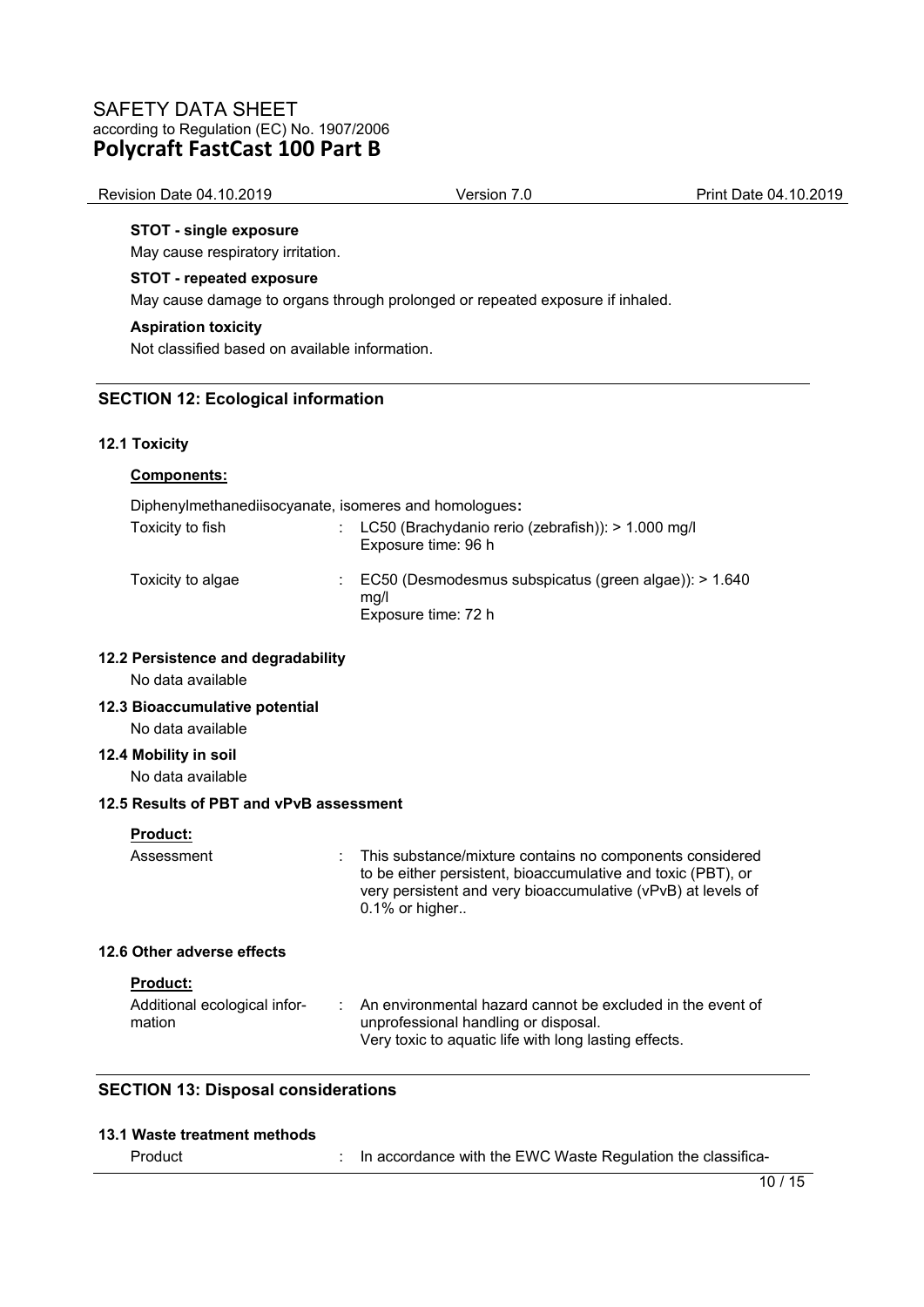| Revision Date 04.10.2019 | Version 7.0 | Print Date 04.10.2019 |
|--------------------------|-------------|-----------------------|
|                          |             |                       |

## **STOT - single exposure**

May cause respiratory irritation.

#### **STOT - repeated exposure**

May cause damage to organs through prolonged or repeated exposure if inhaled.

#### **Aspiration toxicity**

Not classified based on available information.

#### **SECTION 12: Ecological information**

#### **12.1 Toxicity**

# **Components:**  Diphenylmethanediisocyanate, isomeres and homologues**:**  Toxicity to fish : LC50 (Brachydanio rerio (zebrafish)): > 1.000 mg/l Exposure time: 96 h Toxicity to algae : EC50 (Desmodesmus subspicatus (green algae)): > 1.640 mg/l Exposure time: 72 h **12.2 Persistence and degradability**  No data available **12.3 Bioaccumulative potential**  No data available

# **12.4 Mobility in soil**

No data available

## **12.5 Results of PBT and vPvB assessment**

Assessment : This substance/mixture contains no components considered to be either persistent, bioaccumulative and toxic (PBT), or very persistent and very bioaccumulative (vPvB) at levels of 0.1% or higher..

## **12.6 Other adverse effects**

#### **Product:**

| Additional ecological infor- | An environmental hazard cannot be excluded in the event of |
|------------------------------|------------------------------------------------------------|
| mation                       | unprofessional handling or disposal.                       |
|                              | Very toxic to aquatic life with long lasting effects.      |

## **SECTION 13: Disposal considerations**

| 13.1 Waste treatment methods |  |
|------------------------------|--|
|------------------------------|--|

| Product | In accordance with the EWC Waste Regulation the classifica- |  |
|---------|-------------------------------------------------------------|--|
|         |                                                             |  |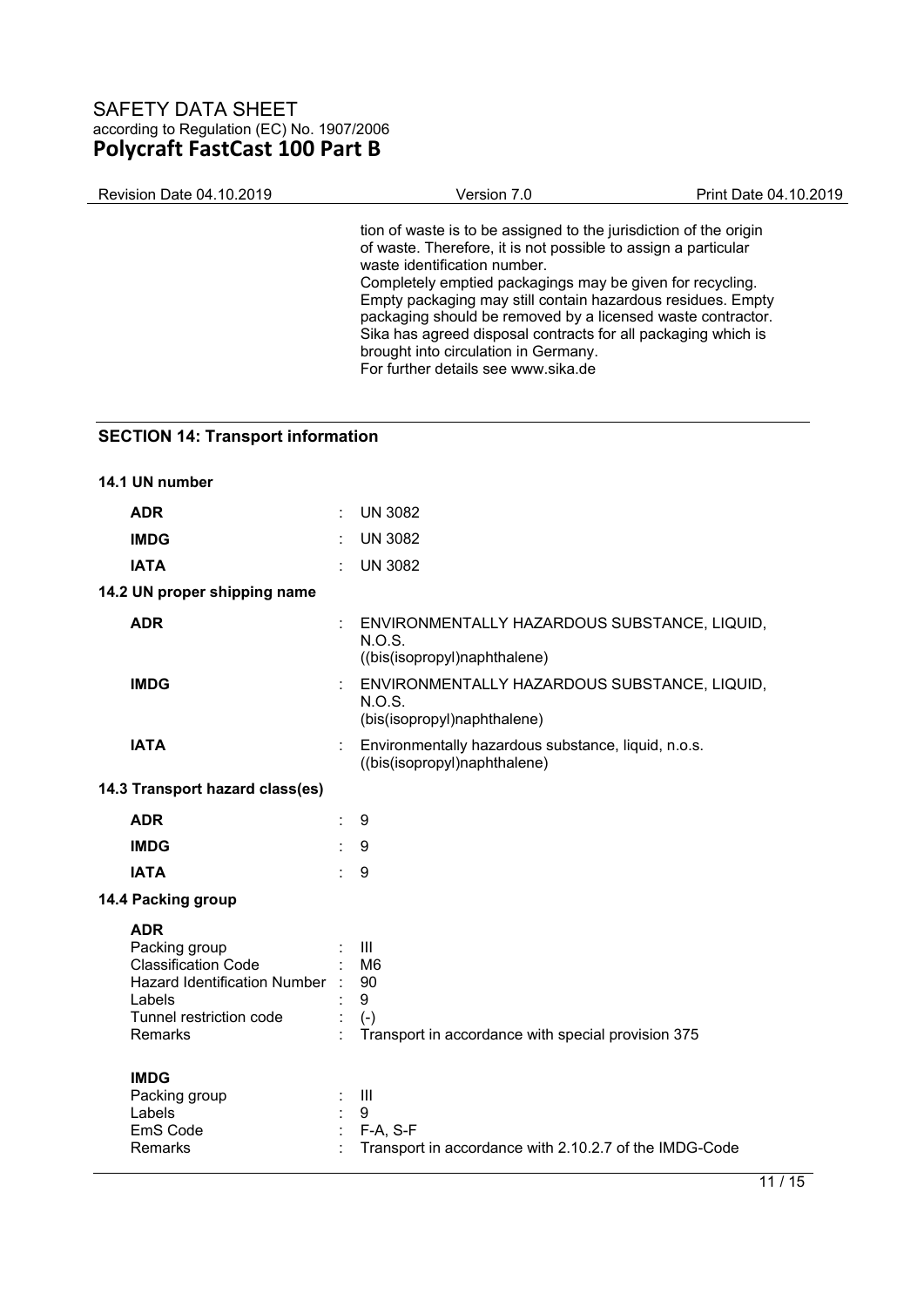| <b>Revision Date 04.10.2019</b> | Version 7.0                                                                                                                                                                                                                                                                                                                                                                                                                                                                                                    | Print Date 04.10.2019 |
|---------------------------------|----------------------------------------------------------------------------------------------------------------------------------------------------------------------------------------------------------------------------------------------------------------------------------------------------------------------------------------------------------------------------------------------------------------------------------------------------------------------------------------------------------------|-----------------------|
|                                 | tion of waste is to be assigned to the jurisdiction of the origin<br>of waste. Therefore, it is not possible to assign a particular<br>waste identification number.<br>Completely emptied packagings may be given for recycling.<br>Empty packaging may still contain hazardous residues. Empty<br>packaging should be removed by a licensed waste contractor.<br>Sika has agreed disposal contracts for all packaging which is<br>brought into circulation in Germany.<br>For further details see www.sika.de |                       |
|                                 |                                                                                                                                                                                                                                                                                                                                                                                                                                                                                                                |                       |

# **SECTION 14: Transport information**

| 14.1 UN number                                                                                                                              |    |                                                                                                            |
|---------------------------------------------------------------------------------------------------------------------------------------------|----|------------------------------------------------------------------------------------------------------------|
| <b>ADR</b>                                                                                                                                  |    | <b>UN 3082</b>                                                                                             |
| <b>IMDG</b>                                                                                                                                 |    | <b>UN 3082</b>                                                                                             |
| <b>IATA</b>                                                                                                                                 |    | <b>UN 3082</b>                                                                                             |
| 14.2 UN proper shipping name                                                                                                                |    |                                                                                                            |
| <b>ADR</b>                                                                                                                                  |    | ENVIRONMENTALLY HAZARDOUS SUBSTANCE, LIQUID,<br>N.O.S.<br>((bis(isopropyl)naphthalene)                     |
| <b>IMDG</b>                                                                                                                                 |    | ENVIRONMENTALLY HAZARDOUS SUBSTANCE, LIQUID,<br>N.O.S.<br>(bis(isopropyl)naphthalene)                      |
| <b>IATA</b>                                                                                                                                 |    | Environmentally hazardous substance, liquid, n.o.s.<br>((bis(isopropyl)naphthalene)                        |
| 14.3 Transport hazard class(es)                                                                                                             |    |                                                                                                            |
| <b>ADR</b>                                                                                                                                  |    | 9                                                                                                          |
| <b>IMDG</b>                                                                                                                                 |    | 9                                                                                                          |
| <b>IATA</b>                                                                                                                                 | ÷. | 9                                                                                                          |
| 14.4 Packing group                                                                                                                          |    |                                                                                                            |
| <b>ADR</b><br>Packing group<br><b>Classification Code</b><br>Hazard Identification Number :<br>Labels<br>Tunnel restriction code<br>Remarks |    | $\mathbf{III}$<br>M <sub>6</sub><br>90<br>9<br>$(-)$<br>Transport in accordance with special provision 375 |
| <b>IMDG</b><br>Packing group<br>Labels<br>EmS Code<br>Remarks                                                                               |    | $\mathbf{III}$<br>9<br>F-A, S-F<br>Transport in accordance with 2.10.2.7 of the IMDG-Code                  |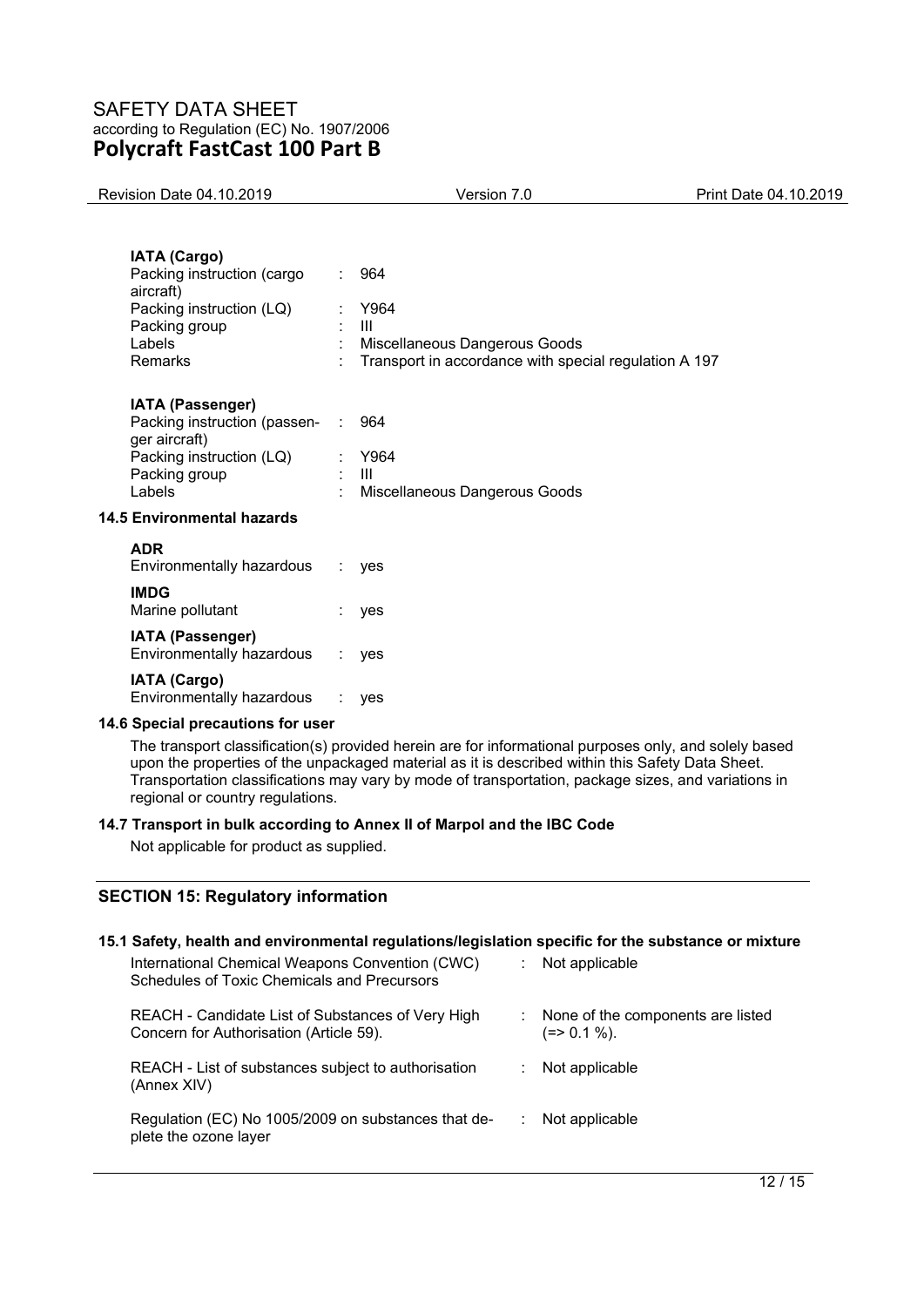| <b>Revision Date 04.10.2019</b>                                                                                                  | Version 7.0                                                                                                                                                                                                                                                                                                      | Print Date 04.10.2019             |
|----------------------------------------------------------------------------------------------------------------------------------|------------------------------------------------------------------------------------------------------------------------------------------------------------------------------------------------------------------------------------------------------------------------------------------------------------------|-----------------------------------|
|                                                                                                                                  |                                                                                                                                                                                                                                                                                                                  |                                   |
| <b>IATA (Cargo)</b><br>Packing instruction (cargo<br>aircraft)<br>Packing instruction (LQ)<br>Packing group<br>Labels<br>Remarks | 964<br>Y964<br>Ш<br>Miscellaneous Dangerous Goods<br>Transport in accordance with special regulation A 197                                                                                                                                                                                                       |                                   |
| IATA (Passenger)<br>Packing instruction (passen-<br>ger aircraft)<br>Packing instruction (LQ)<br>Packing group<br>Labels         | 964<br>Y964<br>Ш<br>Miscellaneous Dangerous Goods                                                                                                                                                                                                                                                                |                                   |
| <b>14.5 Environmental hazards</b>                                                                                                |                                                                                                                                                                                                                                                                                                                  |                                   |
| <b>ADR</b><br>Environmentally hazardous                                                                                          | ÷.<br>yes                                                                                                                                                                                                                                                                                                        |                                   |
| <b>IMDG</b><br>Marine pollutant                                                                                                  | yes                                                                                                                                                                                                                                                                                                              |                                   |
| IATA (Passenger)<br>Environmentally hazardous                                                                                    | yes                                                                                                                                                                                                                                                                                                              |                                   |
| <b>IATA (Cargo)</b><br>Environmentally hazardous                                                                                 | ÷.<br>yes                                                                                                                                                                                                                                                                                                        |                                   |
| 14.6 Special precautions for user                                                                                                |                                                                                                                                                                                                                                                                                                                  |                                   |
| regional or country regulations.                                                                                                 | The transport classification(s) provided herein are for informational purposes only, and solely based<br>upon the properties of the unpackaged material as it is described within this Safety Data Sheet.<br>Transportation classifications may vary by mode of transportation, package sizes, and variations in |                                   |
| Not applicable for product as supplied.                                                                                          | 14.7 Transport in bulk according to Annex II of Marpol and the IBC Code                                                                                                                                                                                                                                          |                                   |
| <b>SECTION 15: Regulatory information</b>                                                                                        |                                                                                                                                                                                                                                                                                                                  |                                   |
| International Chemical Weapons Convention (CWC)<br>Schedules of Toxic Chemicals and Precursors                                   | 15.1 Safety, health and environmental regulations/legislation specific for the substance or mixture<br>Not applicable                                                                                                                                                                                            |                                   |
| REACH - Candidate List of Substances of Very High                                                                                |                                                                                                                                                                                                                                                                                                                  | None of the components are listed |

 $(=> 0.1 \%).$ 

REACH - List of substances subject to authorisation (Annex XIV) : Not applicable

Concern for Authorisation (Article 59).

Regulation (EC) No 1005/2009 on substances that deplete the ozone layer : Not applicable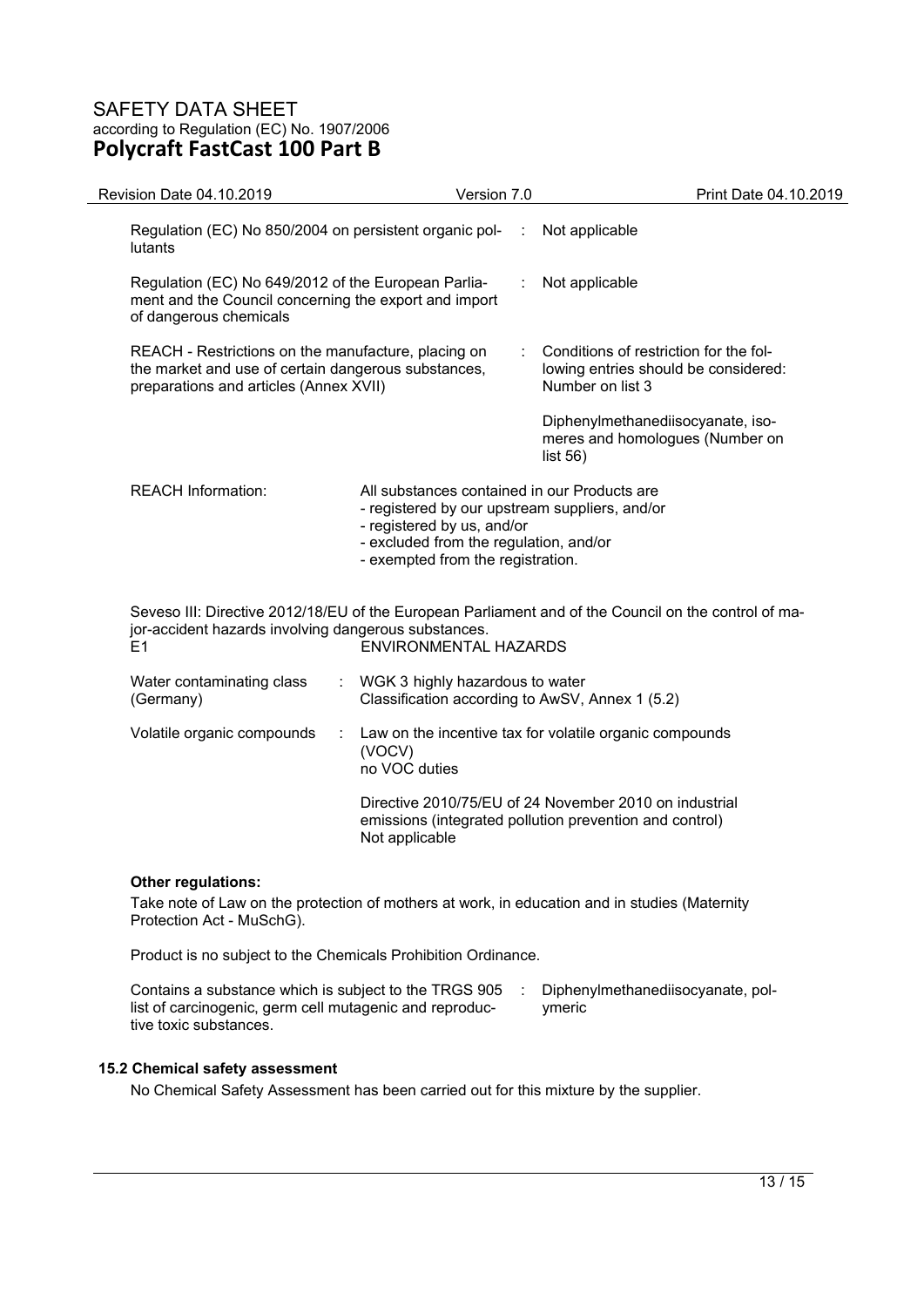| Revision Date 04.10.2019                                                                                                                             | Version 7.0                                                                                                                                                                                                 |   | Print Date 04.10.2019                                                                                             |
|------------------------------------------------------------------------------------------------------------------------------------------------------|-------------------------------------------------------------------------------------------------------------------------------------------------------------------------------------------------------------|---|-------------------------------------------------------------------------------------------------------------------|
| Regulation (EC) No 850/2004 on persistent organic pol-<br>lutants                                                                                    |                                                                                                                                                                                                             | ÷ | Not applicable                                                                                                    |
| Regulation (EC) No 649/2012 of the European Parlia-<br>ment and the Council concerning the export and import<br>of dangerous chemicals               |                                                                                                                                                                                                             |   | Not applicable                                                                                                    |
| REACH - Restrictions on the manufacture, placing on<br>the market and use of certain dangerous substances,<br>preparations and articles (Annex XVII) |                                                                                                                                                                                                             |   | Conditions of restriction for the fol-<br>lowing entries should be considered:<br>Number on list 3                |
|                                                                                                                                                      |                                                                                                                                                                                                             |   | Diphenylmethanediisocyanate, iso-<br>meres and homologues (Number on<br>list $56$ )                               |
| <b>REACH Information:</b>                                                                                                                            | All substances contained in our Products are<br>- registered by our upstream suppliers, and/or<br>- registered by us, and/or<br>- excluded from the regulation, and/or<br>- exempted from the registration. |   |                                                                                                                   |
| jor-accident hazards involving dangerous substances.<br>E <sub>1</sub>                                                                               | ENVIRONMENTAL HAZARDS                                                                                                                                                                                       |   | Seveso III: Directive 2012/18/EU of the European Parliament and of the Council on the control of ma-              |
| Water contaminating class<br>(Germany)                                                                                                               | WGK 3 highly hazardous to water<br>Classification according to AwSV, Annex 1 (5.2)                                                                                                                          |   |                                                                                                                   |
| Volatile organic compounds<br>÷                                                                                                                      | (VOCV)<br>no VOC duties                                                                                                                                                                                     |   | Law on the incentive tax for volatile organic compounds                                                           |
|                                                                                                                                                      | Not applicable                                                                                                                                                                                              |   | Directive 2010/75/EU of 24 November 2010 on industrial<br>emissions (integrated pollution prevention and control) |
|                                                                                                                                                      |                                                                                                                                                                                                             |   |                                                                                                                   |

## **Other regulations:**

Take note of Law on the protection of mothers at work, in education and in studies (Maternity Protection Act - MuSchG).

Product is no subject to the Chemicals Prohibition Ordinance.

Contains a substance which is subject to the TRGS 905 : Diphenylmethanediisocyanate, pollist of carcinogenic, germ cell mutagenic and reproductive toxic substances. ymeric

## **15.2 Chemical safety assessment**

No Chemical Safety Assessment has been carried out for this mixture by the supplier.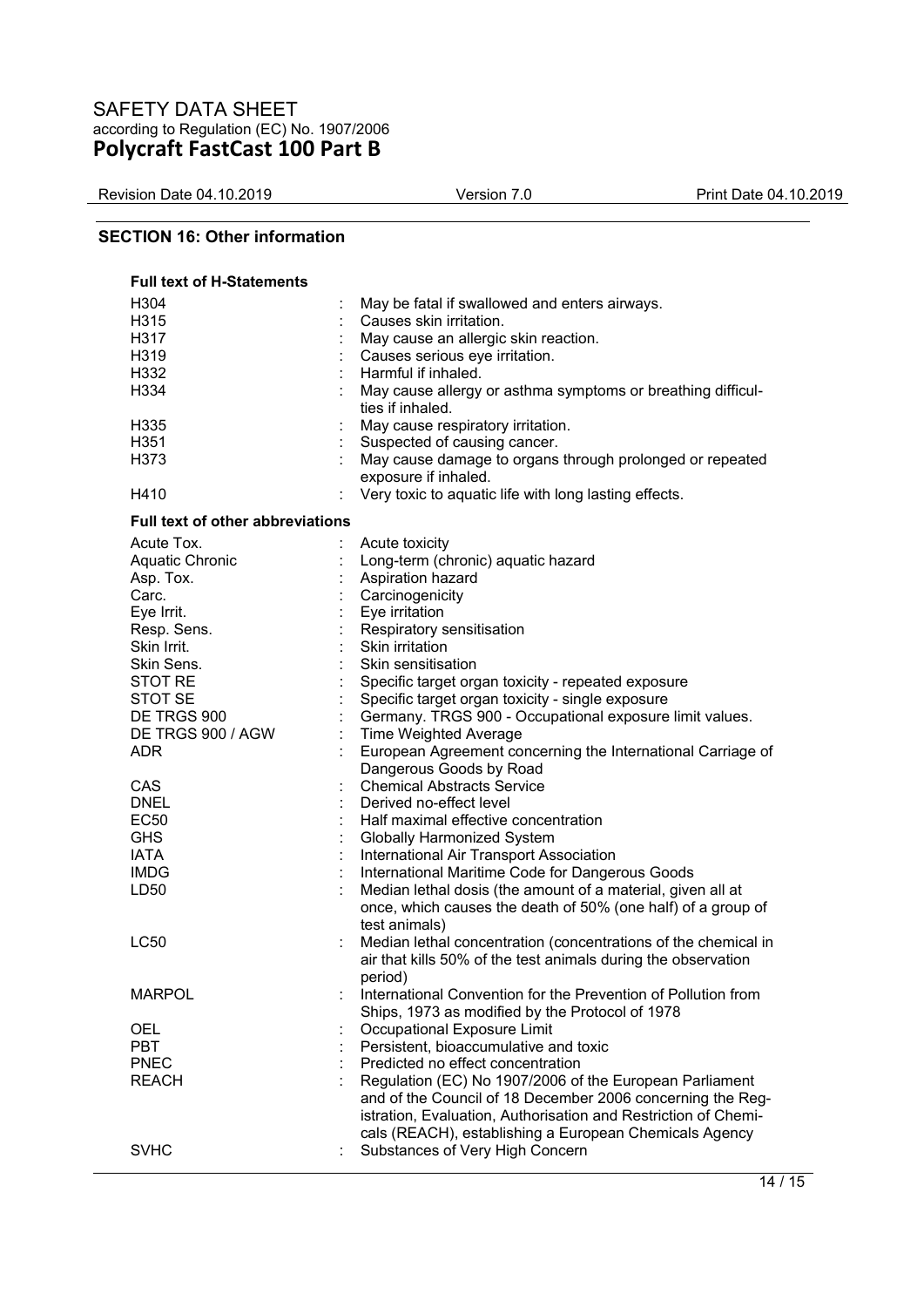Revision Date 04.10.2019 Version 7.0 Print Date 04.10.2019

## **SECTION 16: Other information**

| <b>Full text of H-Statements</b>        |                                                                |
|-----------------------------------------|----------------------------------------------------------------|
| H304                                    | May be fatal if swallowed and enters airways.                  |
| H315                                    | Causes skin irritation.                                        |
| H317                                    | May cause an allergic skin reaction.                           |
| H319                                    | Causes serious eye irritation.                                 |
| H332                                    | Harmful if inhaled.                                            |
| H334                                    | May cause allergy or asthma symptoms or breathing difficul-    |
|                                         | ties if inhaled.                                               |
| H335                                    | May cause respiratory irritation.                              |
| H351                                    | Suspected of causing cancer.                                   |
| H373                                    | May cause damage to organs through prolonged or repeated       |
|                                         |                                                                |
|                                         | exposure if inhaled.                                           |
| H410                                    | Very toxic to aquatic life with long lasting effects.          |
| <b>Full text of other abbreviations</b> |                                                                |
| Acute Tox.                              | Acute toxicity                                                 |
| <b>Aquatic Chronic</b>                  | Long-term (chronic) aquatic hazard                             |
| Asp. Tox.                               | Aspiration hazard                                              |
| Carc.                                   | Carcinogenicity                                                |
| Eye Irrit.                              | Eye irritation                                                 |
| Resp. Sens.                             | Respiratory sensitisation                                      |
| Skin Irrit.                             | Skin irritation                                                |
| Skin Sens.                              | Skin sensitisation                                             |
|                                         |                                                                |
| <b>STOT RE</b>                          | Specific target organ toxicity - repeated exposure             |
| <b>STOT SE</b>                          | Specific target organ toxicity - single exposure               |
| DE TRGS 900                             | Germany. TRGS 900 - Occupational exposure limit values.        |
| DE TRGS 900 / AGW                       | Time Weighted Average                                          |
| <b>ADR</b>                              | European Agreement concerning the International Carriage of    |
|                                         | Dangerous Goods by Road                                        |
| CAS                                     | <b>Chemical Abstracts Service</b>                              |
| <b>DNEL</b>                             | Derived no-effect level                                        |
| <b>EC50</b>                             | Half maximal effective concentration                           |
| <b>GHS</b>                              | Globally Harmonized System                                     |
| <b>IATA</b>                             | International Air Transport Association                        |
| <b>IMDG</b>                             | International Maritime Code for Dangerous Goods                |
| LD50                                    | Median lethal dosis (the amount of a material, given all at    |
|                                         | once, which causes the death of 50% (one half) of a group of   |
|                                         | test animals)                                                  |
| <b>LC50</b>                             | Median lethal concentration (concentrations of the chemical in |
|                                         | air that kills 50% of the test animals during the observation  |
|                                         | period)                                                        |
| <b>MARPOL</b>                           | International Convention for the Prevention of Pollution from  |
|                                         | Ships, 1973 as modified by the Protocol of 1978                |
| OEL                                     | Occupational Exposure Limit                                    |
| <b>PBT</b>                              | Persistent, bioaccumulative and toxic                          |
| <b>PNEC</b>                             | Predicted no effect concentration                              |
|                                         |                                                                |
| <b>REACH</b>                            | Regulation (EC) No 1907/2006 of the European Parliament        |
|                                         | and of the Council of 18 December 2006 concerning the Reg-     |
|                                         | istration, Evaluation, Authorisation and Restriction of Chemi- |
|                                         | cals (REACH), establishing a European Chemicals Agency         |
| <b>SVHC</b>                             | Substances of Very High Concern<br>÷                           |
|                                         |                                                                |